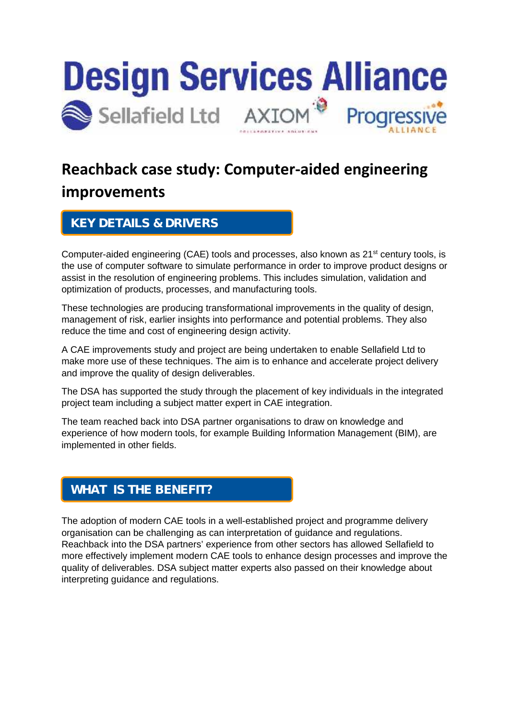

## **Reachback case study: Computer-aided engineering improvements**

## **KEY DETAILS & DRIVERS**

Computer-aided engineering (CAE) tools and processes, also known as 21<sup>st</sup> century tools, is the use of computer software to simulate performance in order to improve product designs or assist in the resolution of engineering problems. This includes simulation, validation and optimization of products, processes, and manufacturing tools.

These technologies are producing transformational improvements in the quality of design, management of risk, earlier insights into performance and potential problems. They also reduce the time and cost of engineering design activity.

A CAE improvements study and project are being undertaken to enable Sellafield Ltd to make more use of these techniques. The aim is to enhance and accelerate project delivery and improve the quality of design deliverables.

The DSA has supported the study through the placement of key individuals in the integrated project team including a subject matter expert in CAE integration.

The team reached back into DSA partner organisations to draw on knowledge and experience of how modern tools, for example Building Information Management (BIM), are implemented in other fields.

## **WHAT IS THE BENEFIT?**

The adoption of modern CAE tools in a well-established project and programme delivery organisation can be challenging as can interpretation of guidance and regulations. Reachback into the DSA partners' experience from other sectors has allowed Sellafield to more effectively implement modern CAE tools to enhance design processes and improve the quality of deliverables. DSA subject matter experts also passed on their knowledge about interpreting guidance and regulations.